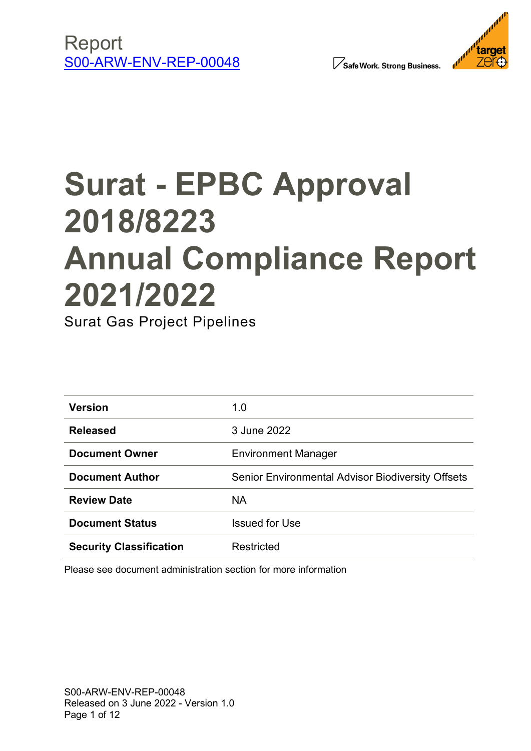

Safe Work. Strong Business.



# **Surat - EPBC Approval 2018/8223 Annual Compliance Report 2021/2022**

Surat Gas Project Pipelines

| <b>Version</b>                 | 1.0                                                      |
|--------------------------------|----------------------------------------------------------|
| <b>Released</b>                | 3 June 2022                                              |
| <b>Document Owner</b>          | <b>Environment Manager</b>                               |
| <b>Document Author</b>         | <b>Senior Environmental Advisor Biodiversity Offsets</b> |
| <b>Review Date</b>             | <b>NA</b>                                                |
| <b>Document Status</b>         | <b>Issued for Use</b>                                    |
| <b>Security Classification</b> | Restricted                                               |

Please see document administration section for more information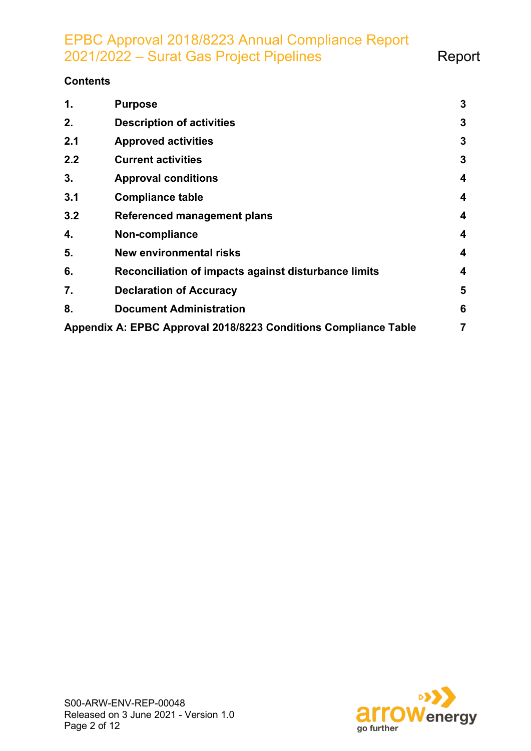EPBC Approval 2018/8223 Annual Compliance Report 2021/2022 – Surat Gas Project Pipelines **Report** 

#### **Contents**

| 1.  | <b>Purpose</b>                                                  | $\mathbf{3}$   |
|-----|-----------------------------------------------------------------|----------------|
| 2.  | <b>Description of activities</b>                                | 3              |
| 2.1 | <b>Approved activities</b>                                      | 3              |
| 2.2 | <b>Current activities</b>                                       | 3              |
| 3.  | <b>Approval conditions</b>                                      | 4              |
| 3.1 | <b>Compliance table</b>                                         | 4              |
| 3.2 | <b>Referenced management plans</b>                              | 4              |
| 4.  | Non-compliance                                                  | 4              |
| 5.  | <b>New environmental risks</b>                                  | 4              |
| 6.  | Reconciliation of impacts against disturbance limits            | 4              |
| 7.  | <b>Declaration of Accuracy</b>                                  | 5              |
| 8.  | <b>Document Administration</b>                                  | 6              |
|     | Appendix A: EPBC Approval 2018/8223 Conditions Compliance Table | $\overline{7}$ |

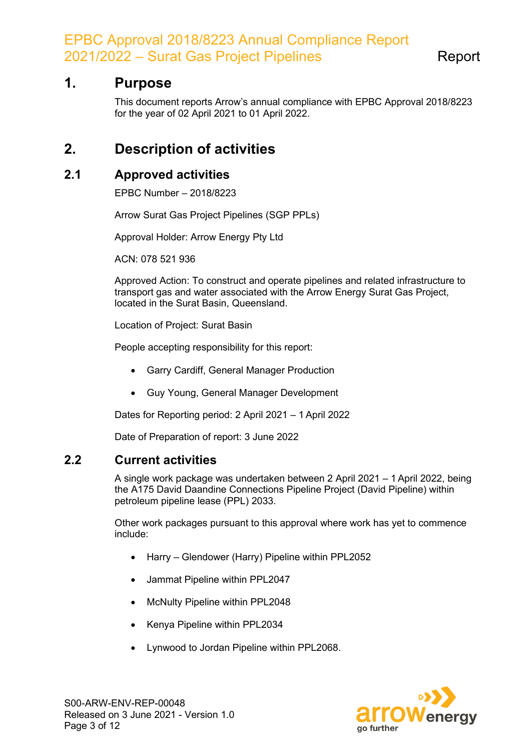EPBC Approval 2018/8223 Annual Compliance Report 2021/2022 – Surat Gas Project Pipelines The Report

## <span id="page-2-0"></span>**1. Purpose**

This document reports Arrow's annual compliance with EPBC Approval 2018/8223 for the year of 02 April 2021 to 01 April 2022.

# <span id="page-2-1"></span>**2. Description of activities**

#### <span id="page-2-2"></span>**2.1 Approved activities**

EPBC Number – 2018/8223

Arrow Surat Gas Project Pipelines (SGP PPLs)

Approval Holder: Arrow Energy Pty Ltd

ACN: 078 521 936

Approved Action: To construct and operate pipelines and related infrastructure to transport gas and water associated with the Arrow Energy Surat Gas Project, located in the Surat Basin, Queensland.

Location of Project: Surat Basin

People accepting responsibility for this report:

- Garry Cardiff, General Manager Production
- Guy Young, General Manager Development

Dates for Reporting period: 2 April 2021 – 1 April 2022

Date of Preparation of report: 3 June 2022

#### <span id="page-2-3"></span>**2.2 Current activities**

A single work package was undertaken between 2 April 2021 – 1 April 2022, being the A175 David Daandine Connections Pipeline Project (David Pipeline) within petroleum pipeline lease (PPL) 2033.

Other work packages pursuant to this approval where work has yet to commence include:

- Harry Glendower (Harry) Pipeline within PPL2052
- Jammat Pipeline within PPL2047
- McNulty Pipeline within PPL2048
- Kenya Pipeline within PPL2034
- Lynwood to Jordan Pipeline within PPL2068.

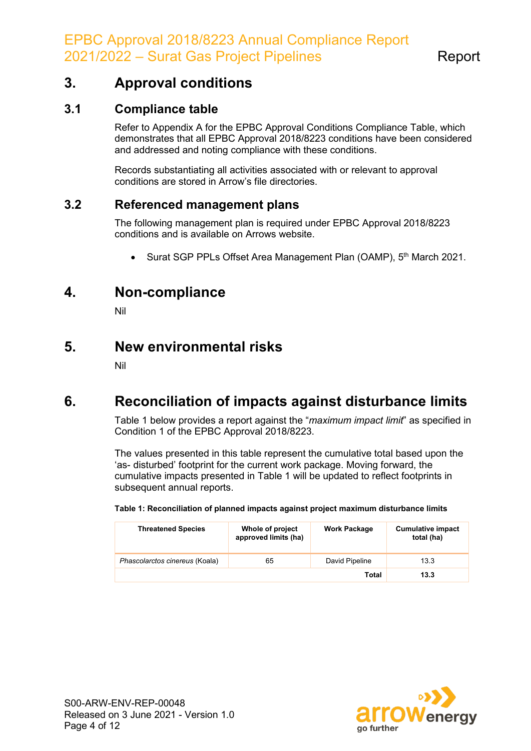# <span id="page-3-7"></span><span id="page-3-0"></span>**3. Approval conditions**

#### <span id="page-3-1"></span>**3.1 Compliance table**

Refer to [Appendix A](#page-5-0) for the EPBC Approval Conditions Compliance Table, which demonstrates that all EPBC Approval 2018/8223 conditions have been considered and addressed and noting compliance with these conditions.

Records substantiating all activities associated with or relevant to approval conditions are stored in Arrow's file directories.

#### <span id="page-3-6"></span><span id="page-3-2"></span>**3.2 Referenced management plans**

The following management plan is required under EPBC Approval 2018/8223 conditions and is available on Arrows website.

• Surat SGP PPLs Offset Area Management Plan (OAMP), 5<sup>th</sup> March 2021.

# <span id="page-3-3"></span>**4. Non-compliance**

Nil

### <span id="page-3-4"></span>**5. New environmental risks**

Nil

# <span id="page-3-5"></span>**6. Reconciliation of impacts against disturbance limits**

Table 1 below provides a report against the "*maximum impact limit*" as specified in Condition 1 of the EPBC Approval 2018/8223.

The values presented in this table represent the cumulative total based upon the 'as- disturbed' footprint for the current work package. Moving forward, the cumulative impacts presented in Table 1 will be updated to reflect footprints in subsequent annual reports.

| <b>Threatened Species</b>      | Whole of project<br>approved limits (ha) | <b>Work Package</b> | <b>Cumulative impact</b><br>total (ha) |
|--------------------------------|------------------------------------------|---------------------|----------------------------------------|
| Phascolarctos cinereus (Koala) | 65                                       | David Pipeline      | 13.3                                   |
|                                |                                          | Total               | 13.3                                   |

**Table 1: Reconciliation of planned impacts against project maximum disturbance limits**

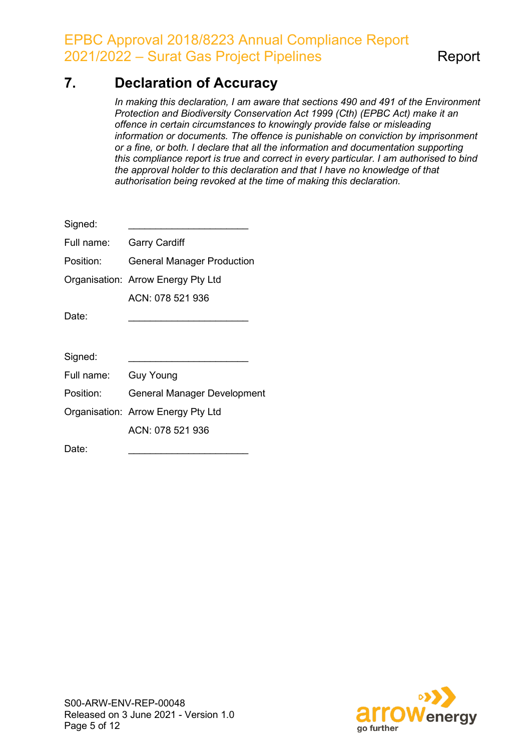EPBC Approval 2018/8223 Annual Compliance Report 2021/2022 – Surat Gas Project Pipelines The Report

# <span id="page-4-0"></span>**7. Declaration of Accuracy**

*In making this declaration, I am aware that sections 490 and 491 of the Environment Protection and Biodiversity Conservation Act 1999 (Cth) (EPBC Act) make it an offence in certain circumstances to knowingly provide false or misleading information or documents. The offence is punishable on conviction by imprisonment or a fine, or both. I declare that all the information and documentation supporting this compliance report is true and correct in every particular. I am authorised to bind the approval holder to this declaration and that I have no knowledge of that authorisation being revoked at the time of making this declaration.*

| Signed:    |                                    |  |
|------------|------------------------------------|--|
| Full name: | <b>Garry Cardiff</b>               |  |
| Position:  | <b>General Manager Production</b>  |  |
|            | Organisation: Arrow Energy Pty Ltd |  |
|            | ACN: 078 521 936                   |  |
| Date:      |                                    |  |
|            |                                    |  |
| Signed:    |                                    |  |
| Full name: | Guy Young                          |  |
| Position:  | <b>General Manager Development</b> |  |
|            | Organisation: Arrow Energy Pty Ltd |  |
|            | ACN: 078 521 936                   |  |
| Date:      |                                    |  |

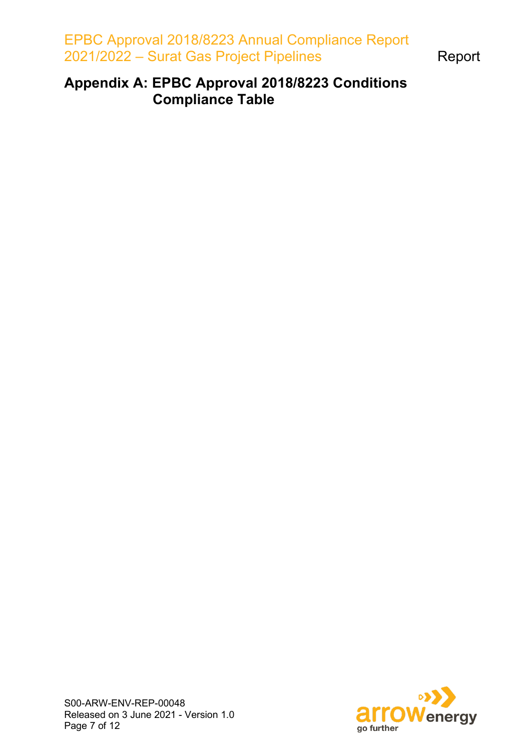EPBC Approval 2018/8223 Annual Compliance Report 2021/2022 – Surat Gas Project Pipelines **Report** 

# <span id="page-5-0"></span>**Appendix A: EPBC Approval 2018/8223 Conditions Compliance Table**

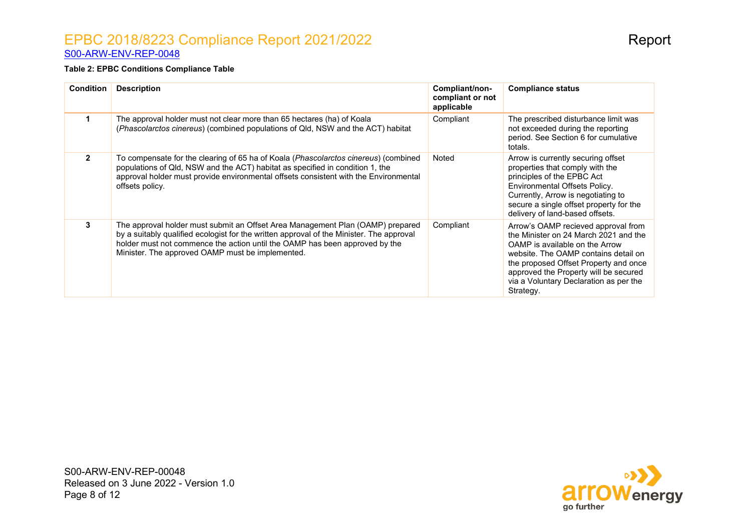#### EPBC 2018/8223 Compliance Report 2021/2022 **Report** [S00-ARW-ENV-REP-0048](http://reservoir.arrowenergy.com.au/Departments/IT/Documents/Template%20-%20Key%20document%20request%20form.oft)

#### **Table 2: EPBC Conditions Compliance Table**

| <b>Condition</b> | <b>Description</b>                                                                                                                                                                                                                                                                                            | Compliant/non-<br>compliant or not<br>applicable | <b>Compliance status</b>                                                                                                                                                                                                                                                                        |
|------------------|---------------------------------------------------------------------------------------------------------------------------------------------------------------------------------------------------------------------------------------------------------------------------------------------------------------|--------------------------------------------------|-------------------------------------------------------------------------------------------------------------------------------------------------------------------------------------------------------------------------------------------------------------------------------------------------|
| $\mathbf 1$      | The approval holder must not clear more than 65 hectares (ha) of Koala<br>(Phascolarctos cinereus) (combined populations of Qld, NSW and the ACT) habitat                                                                                                                                                     | Compliant                                        | The prescribed disturbance limit was<br>not exceeded during the reporting<br>period. See Section 6 for cumulative<br>totals.                                                                                                                                                                    |
| $\overline{2}$   | To compensate for the clearing of 65 ha of Koala (Phascolarctos cinereus) (combined<br>populations of Qld, NSW and the ACT) habitat as specified in condition 1, the<br>approval holder must provide environmental offsets consistent with the Environmental<br>offsets policy.                               | Noted                                            | Arrow is currently securing offset<br>properties that comply with the<br>principles of the EPBC Act<br>Environmental Offsets Policy.<br>Currently, Arrow is negotiating to<br>secure a single offset property for the<br>delivery of land-based offsets.                                        |
| 3                | The approval holder must submit an Offset Area Management Plan (OAMP) prepared<br>by a suitably qualified ecologist for the written approval of the Minister. The approval<br>holder must not commence the action until the OAMP has been approved by the<br>Minister. The approved OAMP must be implemented. | Compliant                                        | Arrow's OAMP recieved approval from<br>the Minister on 24 March 2021 and the<br>OAMP is available on the Arrow<br>website. The OAMP contains detail on<br>the proposed Offset Property and once<br>approved the Property will be secured<br>via a Voluntary Declaration as per the<br>Strategy. |

S00-ARW-ENV-REP-00048 Released on 3 June 2022 - Version 1.0 Page 8 of 12

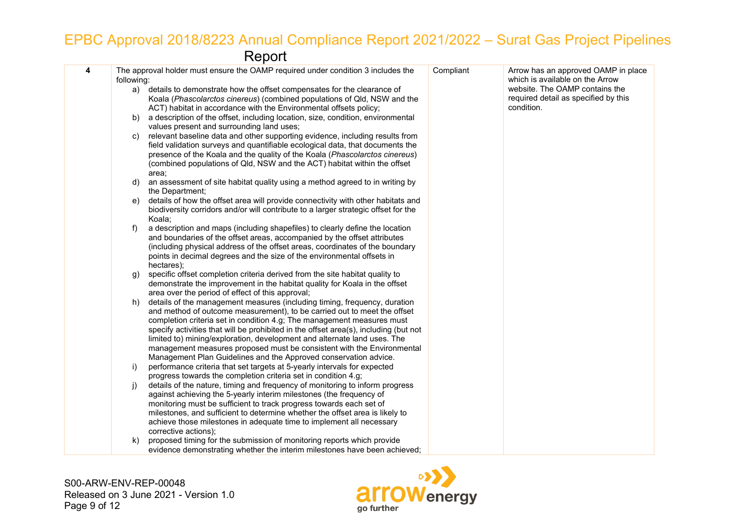# EPBC Approval 2018/8223 Annual Compliance Report 2021/2022 – Surat Gas Project Pipelines

Report

| 4 | following: | The approval holder must ensure the OAMP required under condition 3 includes the                                                                                                                                                                                                                                                                                                                                                                                                                                                                  | Compliant | Arrow has an approved OAMP in place<br>which is available on the Arrow               |
|---|------------|---------------------------------------------------------------------------------------------------------------------------------------------------------------------------------------------------------------------------------------------------------------------------------------------------------------------------------------------------------------------------------------------------------------------------------------------------------------------------------------------------------------------------------------------------|-----------|--------------------------------------------------------------------------------------|
|   |            | a) details to demonstrate how the offset compensates for the clearance of<br>Koala ( <i>Phascolarctos cinereus</i> ) (combined populations of Qld, NSW and the<br>ACT) habitat in accordance with the Environmental offsets policy;                                                                                                                                                                                                                                                                                                               |           | website. The OAMP contains the<br>required detail as specified by this<br>condition. |
|   | b)         | a description of the offset, including location, size, condition, environmental<br>values present and surrounding land uses;                                                                                                                                                                                                                                                                                                                                                                                                                      |           |                                                                                      |
|   | C)         | relevant baseline data and other supporting evidence, including results from<br>field validation surveys and quantifiable ecological data, that documents the<br>presence of the Koala and the quality of the Koala (Phascolarctos cinereus)<br>(combined populations of Qld, NSW and the ACT) habitat within the offset<br>area;                                                                                                                                                                                                                 |           |                                                                                      |
|   | d)         | an assessment of site habitat quality using a method agreed to in writing by<br>the Department;                                                                                                                                                                                                                                                                                                                                                                                                                                                   |           |                                                                                      |
|   | e)         | details of how the offset area will provide connectivity with other habitats and<br>biodiversity corridors and/or will contribute to a larger strategic offset for the<br>Koala;                                                                                                                                                                                                                                                                                                                                                                  |           |                                                                                      |
|   | f)         | a description and maps (including shapefiles) to clearly define the location<br>and boundaries of the offset areas, accompanied by the offset attributes<br>(including physical address of the offset areas, coordinates of the boundary<br>points in decimal degrees and the size of the environmental offsets in<br>hectares);                                                                                                                                                                                                                  |           |                                                                                      |
|   | g)         | specific offset completion criteria derived from the site habitat quality to<br>demonstrate the improvement in the habitat quality for Koala in the offset<br>area over the period of effect of this approval;                                                                                                                                                                                                                                                                                                                                    |           |                                                                                      |
|   | h)         | details of the management measures (including timing, frequency, duration<br>and method of outcome measurement), to be carried out to meet the offset<br>completion criteria set in condition 4.g; The management measures must<br>specify activities that will be prohibited in the offset area(s), including (but not<br>limited to) mining/exploration, development and alternate land uses. The<br>management measures proposed must be consistent with the Environmental<br>Management Plan Guidelines and the Approved conservation advice. |           |                                                                                      |
|   | $\vert$ )  | performance criteria that set targets at 5-yearly intervals for expected<br>progress towards the completion criteria set in condition 4.g;                                                                                                                                                                                                                                                                                                                                                                                                        |           |                                                                                      |
|   | j)         | details of the nature, timing and frequency of monitoring to inform progress<br>against achieving the 5-yearly interim milestones (the frequency of<br>monitoring must be sufficient to track progress towards each set of<br>milestones, and sufficient to determine whether the offset area is likely to<br>achieve those milestones in adequate time to implement all necessary<br>corrective actions);                                                                                                                                        |           |                                                                                      |
|   | k)         | proposed timing for the submission of monitoring reports which provide<br>evidence demonstrating whether the interim milestones have been achieved;                                                                                                                                                                                                                                                                                                                                                                                               |           |                                                                                      |

S00-ARW-ENV-REP-00048 Released on 3 June 2021 - Version 1.0 Page 9 of 12

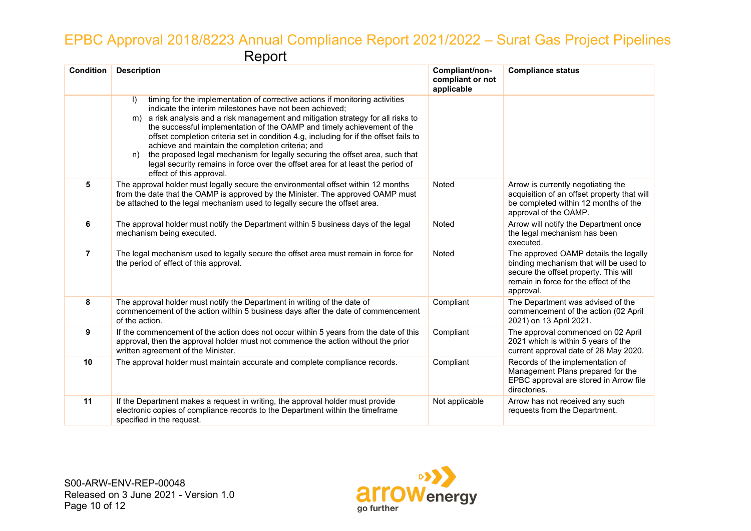### EPBC Approval 2018/8223 Annual Compliance Report 2021/2022 – Surat Gas Project Pipelines Report

| <b>Condition</b> | <b>Description</b>                                                                                                                                                                                                                                                                                                                                                                                                                                                                                                                                                                                                                                                       | Compliant/non-<br>compliant or not<br>applicable | <b>Compliance status</b>                                                                                                                                                       |
|------------------|--------------------------------------------------------------------------------------------------------------------------------------------------------------------------------------------------------------------------------------------------------------------------------------------------------------------------------------------------------------------------------------------------------------------------------------------------------------------------------------------------------------------------------------------------------------------------------------------------------------------------------------------------------------------------|--------------------------------------------------|--------------------------------------------------------------------------------------------------------------------------------------------------------------------------------|
|                  | timing for the implementation of corrective actions if monitoring activities<br>$\vert$<br>indicate the interim milestones have not been achieved;<br>a risk analysis and a risk management and mitigation strategy for all risks to<br>m)<br>the successful implementation of the OAMP and timely achievement of the<br>offset completion criteria set in condition 4.g, including for if the offset fails to<br>achieve and maintain the completion criteria; and<br>the proposed legal mechanism for legally securing the offset area, such that<br>n)<br>legal security remains in force over the offset area for at least the period of<br>effect of this approval. |                                                  |                                                                                                                                                                                |
| 5                | The approval holder must legally secure the environmental offset within 12 months<br>from the date that the OAMP is approved by the Minister. The approved OAMP must<br>be attached to the legal mechanism used to legally secure the offset area.                                                                                                                                                                                                                                                                                                                                                                                                                       | Noted                                            | Arrow is currently negotiating the<br>acquisition of an offset property that will<br>be completed within 12 months of the<br>approval of the OAMP.                             |
| 6                | The approval holder must notify the Department within 5 business days of the legal<br>mechanism being executed.                                                                                                                                                                                                                                                                                                                                                                                                                                                                                                                                                          | Noted                                            | Arrow will notify the Department once<br>the legal mechanism has been<br>executed.                                                                                             |
| 7                | The legal mechanism used to legally secure the offset area must remain in force for<br>the period of effect of this approval.                                                                                                                                                                                                                                                                                                                                                                                                                                                                                                                                            | Noted                                            | The approved OAMP details the legally<br>binding mechanism that will be used to<br>secure the offset property. This will<br>remain in force for the effect of the<br>approval. |
| 8                | The approval holder must notify the Department in writing of the date of<br>commencement of the action within 5 business days after the date of commencement<br>of the action.                                                                                                                                                                                                                                                                                                                                                                                                                                                                                           | Compliant                                        | The Department was advised of the<br>commencement of the action (02 April<br>2021) on 13 April 2021.                                                                           |
| 9                | If the commencement of the action does not occur within 5 years from the date of this<br>approval, then the approval holder must not commence the action without the prior<br>written agreement of the Minister.                                                                                                                                                                                                                                                                                                                                                                                                                                                         | Compliant                                        | The approval commenced on 02 April<br>2021 which is within 5 years of the<br>current approval date of 28 May 2020.                                                             |
| 10               | The approval holder must maintain accurate and complete compliance records.                                                                                                                                                                                                                                                                                                                                                                                                                                                                                                                                                                                              | Compliant                                        | Records of the implementation of<br>Management Plans prepared for the<br>EPBC approval are stored in Arrow file<br>directories.                                                |
| 11               | If the Department makes a request in writing, the approval holder must provide<br>electronic copies of compliance records to the Department within the timeframe<br>specified in the request.                                                                                                                                                                                                                                                                                                                                                                                                                                                                            | Not applicable                                   | Arrow has not received any such<br>requests from the Department.                                                                                                               |

S00-ARW-ENV-REP-00048 Released on 3 June 2021 - Version 1.0 Page 10 of 12

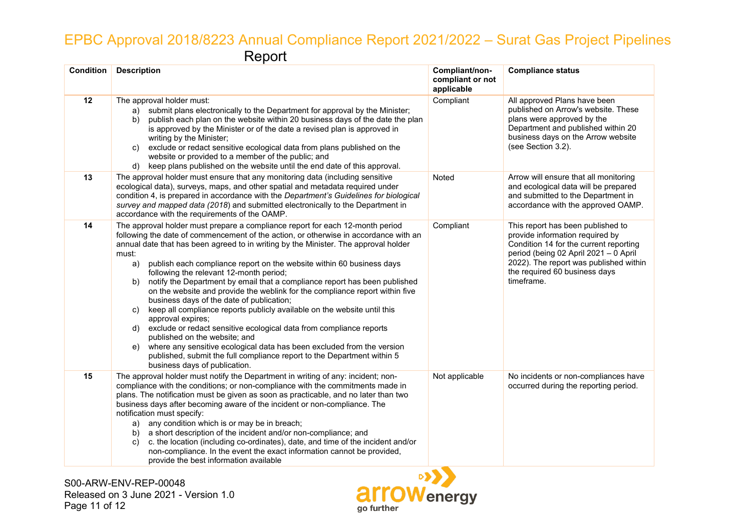# EPBC Approval 2018/8223 Annual Compliance Report 2021/2022 – Surat Gas Project Pipelines Report

| <b>Condition</b> | <b>Description</b>                                                                                                                                                                                                                                                                                                                                                                                                                                                                                                                                                                                                                                                                                                                                                                                                                                                                                                                                                                                                                | Compliant/non-<br>compliant or not<br>applicable | <b>Compliance status</b>                                                                                                                                                                                                                         |
|------------------|-----------------------------------------------------------------------------------------------------------------------------------------------------------------------------------------------------------------------------------------------------------------------------------------------------------------------------------------------------------------------------------------------------------------------------------------------------------------------------------------------------------------------------------------------------------------------------------------------------------------------------------------------------------------------------------------------------------------------------------------------------------------------------------------------------------------------------------------------------------------------------------------------------------------------------------------------------------------------------------------------------------------------------------|--------------------------------------------------|--------------------------------------------------------------------------------------------------------------------------------------------------------------------------------------------------------------------------------------------------|
| 12               | The approval holder must:<br>submit plans electronically to the Department for approval by the Minister;<br>a)<br>publish each plan on the website within 20 business days of the date the plan<br>b)<br>is approved by the Minister or of the date a revised plan is approved in<br>writing by the Minister;<br>exclude or redact sensitive ecological data from plans published on the<br>C)<br>website or provided to a member of the public; and<br>keep plans published on the website until the end date of this approval.<br>d)                                                                                                                                                                                                                                                                                                                                                                                                                                                                                            | Compliant                                        | All approved Plans have been<br>published on Arrow's website. These<br>plans were approved by the<br>Department and published within 20<br>business days on the Arrow website<br>(see Section 3.2).                                              |
| 13               | The approval holder must ensure that any monitoring data (including sensitive<br>ecological data), surveys, maps, and other spatial and metadata required under<br>condition 4, is prepared in accordance with the Department's Guidelines for biological<br>survey and mapped data (2018) and submitted electronically to the Department in<br>accordance with the requirements of the OAMP.                                                                                                                                                                                                                                                                                                                                                                                                                                                                                                                                                                                                                                     | Noted                                            | Arrow will ensure that all monitoring<br>and ecological data will be prepared<br>and submitted to the Department in<br>accordance with the approved OAMP.                                                                                        |
| 14               | The approval holder must prepare a compliance report for each 12-month period<br>following the date of commencement of the action, or otherwise in accordance with an<br>annual date that has been agreed to in writing by the Minister. The approval holder<br>must:<br>publish each compliance report on the website within 60 business days<br>a)<br>following the relevant 12-month period;<br>notify the Department by email that a compliance report has been published<br>b)<br>on the website and provide the weblink for the compliance report within five<br>business days of the date of publication;<br>keep all compliance reports publicly available on the website until this<br>C)<br>approval expires;<br>exclude or redact sensitive ecological data from compliance reports<br>d)<br>published on the website; and<br>where any sensitive ecological data has been excluded from the version<br>e)<br>published, submit the full compliance report to the Department within 5<br>business days of publication. | Compliant                                        | This report has been published to<br>provide information required by<br>Condition 14 for the current reporting<br>period (being 02 April 2021 - 0 April<br>2022). The report was published within<br>the required 60 business days<br>timeframe. |
| 15               | The approval holder must notify the Department in writing of any: incident; non-<br>compliance with the conditions; or non-compliance with the commitments made in<br>plans. The notification must be given as soon as practicable, and no later than two<br>business days after becoming aware of the incident or non-compliance. The<br>notification must specify:<br>any condition which is or may be in breach;<br>a)<br>a short description of the incident and/or non-compliance; and<br>b)<br>c. the location (including co-ordinates), date, and time of the incident and/or<br>C)<br>non-compliance. In the event the exact information cannot be provided,<br>provide the best information available                                                                                                                                                                                                                                                                                                                    | Not applicable                                   | No incidents or non-compliances have<br>occurred during the reporting period.                                                                                                                                                                    |